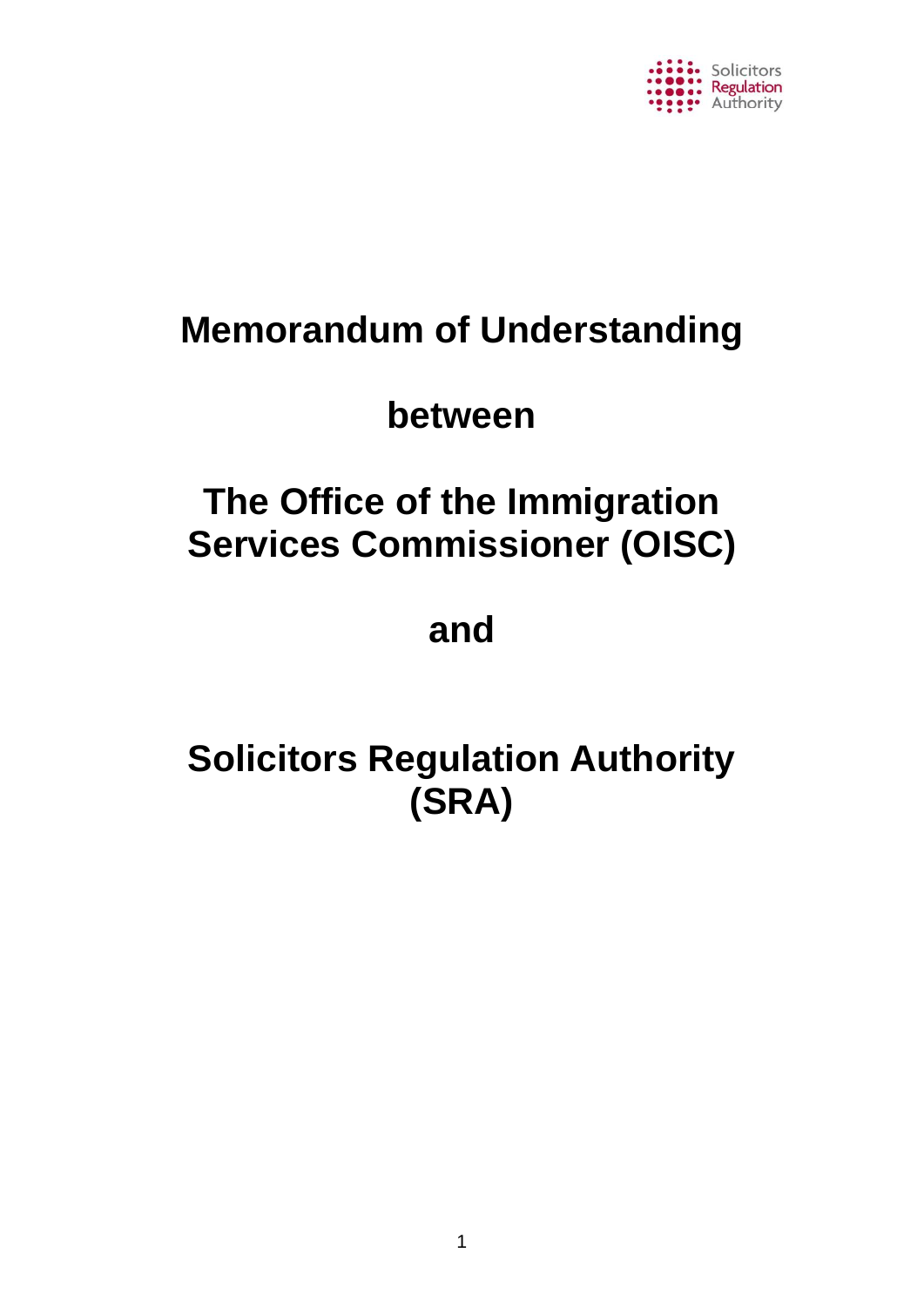

# **Memorandum of Understanding**

# **between**

# **The Office of the Immigration Services Commissioner (OISC)**

# **and**

# **Solicitors Regulation Authority (SRA)**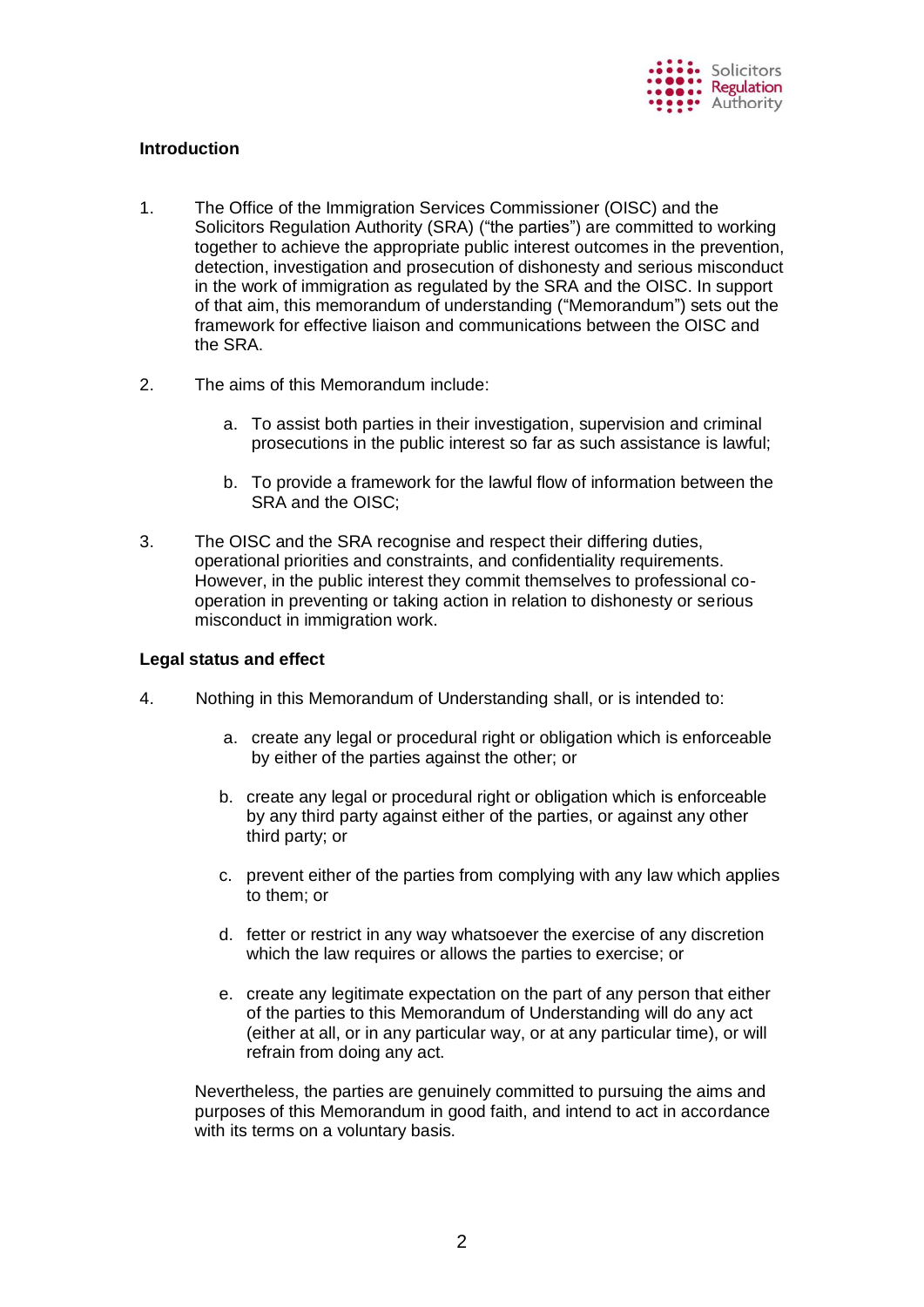

# **Introduction**

- 1. The Office of the Immigration Services Commissioner (OISC) and the Solicitors Regulation Authority (SRA) ("the parties") are committed to working together to achieve the appropriate public interest outcomes in the prevention, detection, investigation and prosecution of dishonesty and serious misconduct in the work of immigration as regulated by the SRA and the OISC. In support of that aim, this memorandum of understanding ("Memorandum") sets out the framework for effective liaison and communications between the OISC and the SRA.
- 2. The aims of this Memorandum include:
	- a. To assist both parties in their investigation, supervision and criminal prosecutions in the public interest so far as such assistance is lawful;
	- b. To provide a framework for the lawful flow of information between the SRA and the OISC;
- 3. The OISC and the SRA recognise and respect their differing duties, operational priorities and constraints, and confidentiality requirements. However, in the public interest they commit themselves to professional cooperation in preventing or taking action in relation to dishonesty or serious misconduct in immigration work.

#### **Legal status and effect**

- 4. Nothing in this Memorandum of Understanding shall, or is intended to:
	- a. create any legal or procedural right or obligation which is enforceable by either of the parties against the other; or
	- b. create any legal or procedural right or obligation which is enforceable by any third party against either of the parties, or against any other third party; or
	- c. prevent either of the parties from complying with any law which applies to them; or
	- d. fetter or restrict in any way whatsoever the exercise of any discretion which the law requires or allows the parties to exercise; or
	- e. create any legitimate expectation on the part of any person that either of the parties to this Memorandum of Understanding will do any act (either at all, or in any particular way, or at any particular time), or will refrain from doing any act.

Nevertheless, the parties are genuinely committed to pursuing the aims and purposes of this Memorandum in good faith, and intend to act in accordance with its terms on a voluntary basis.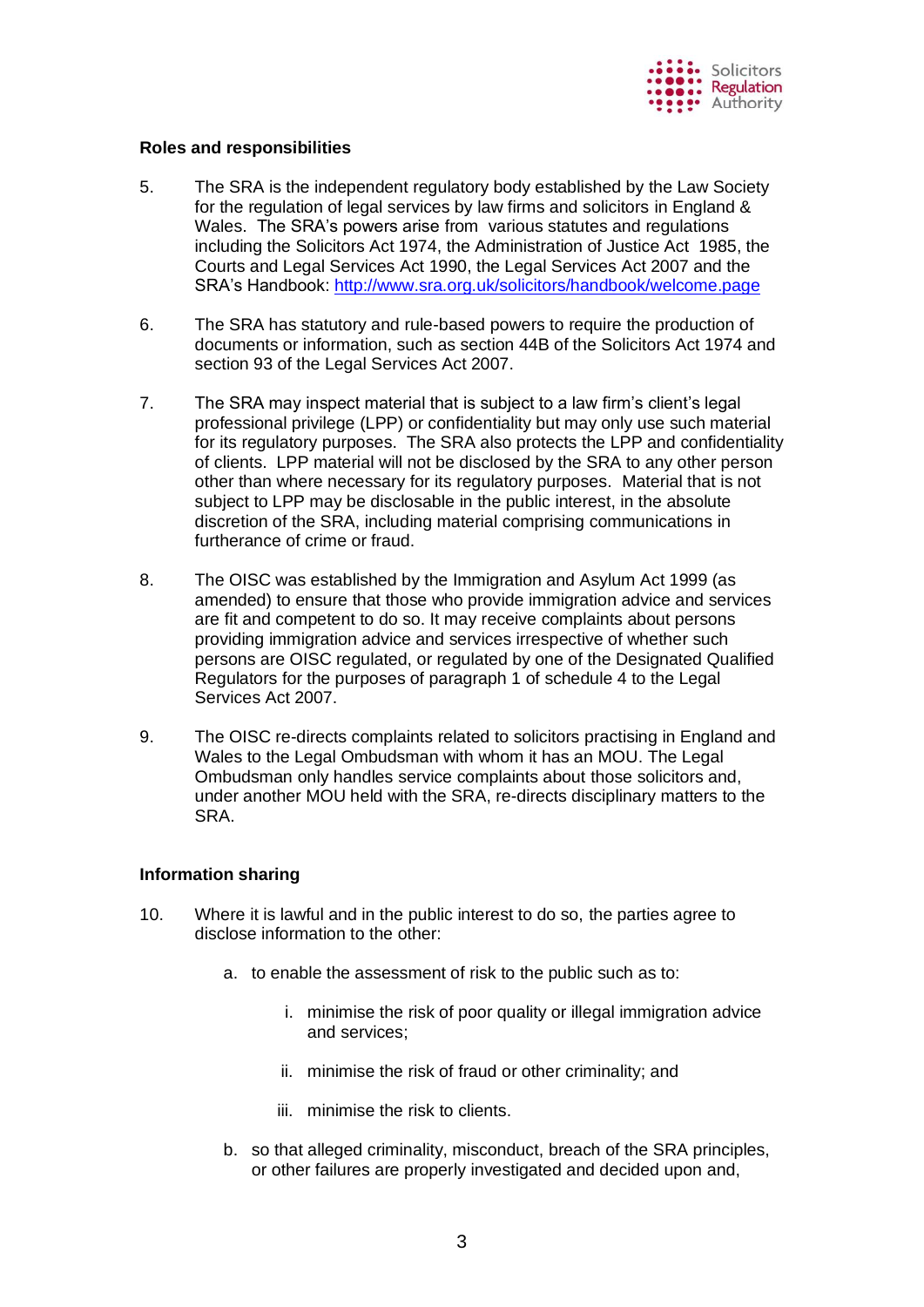

# **Roles and responsibilities**

- 5. The SRA is the independent regulatory body established by the Law Society for the regulation of legal services by law firms and solicitors in England & Wales. The SRA's powers arise from various statutes and regulations including the Solicitors Act 1974, the Administration of Justice Act 1985, the Courts and Legal Services Act 1990, the Legal Services Act 2007 and the SRA's Handbook:<http://www.sra.org.uk/solicitors/handbook/welcome.page>
- 6. The SRA has statutory and rule-based powers to require the production of documents or information, such as section 44B of the Solicitors Act 1974 and section 93 of the Legal Services Act 2007.
- 7. The SRA may inspect material that is subject to a law firm's client's legal professional privilege (LPP) or confidentiality but may only use such material for its regulatory purposes. The SRA also protects the LPP and confidentiality of clients. LPP material will not be disclosed by the SRA to any other person other than where necessary for its regulatory purposes. Material that is not subject to LPP may be disclosable in the public interest, in the absolute discretion of the SRA, including material comprising communications in furtherance of crime or fraud.
- 8. The OISC was established by the Immigration and Asylum Act 1999 (as amended) to ensure that those who provide immigration advice and services are fit and competent to do so. It may receive complaints about persons providing immigration advice and services irrespective of whether such persons are OISC regulated, or regulated by one of the Designated Qualified Regulators for the purposes of paragraph 1 of schedule 4 to the Legal Services Act 2007.
- 9. The OISC re-directs complaints related to solicitors practising in England and Wales to the Legal Ombudsman with whom it has an MOU. The Legal Ombudsman only handles service complaints about those solicitors and, under another MOU held with the SRA, re-directs disciplinary matters to the SRA.

# **Information sharing**

- 10. Where it is lawful and in the public interest to do so, the parties agree to disclose information to the other:
	- a. to enable the assessment of risk to the public such as to:
		- i. minimise the risk of poor quality or illegal immigration advice and services;
		- ii. minimise the risk of fraud or other criminality; and
		- iii. minimise the risk to clients.
	- b. so that alleged criminality, misconduct, breach of the SRA principles, or other failures are properly investigated and decided upon and,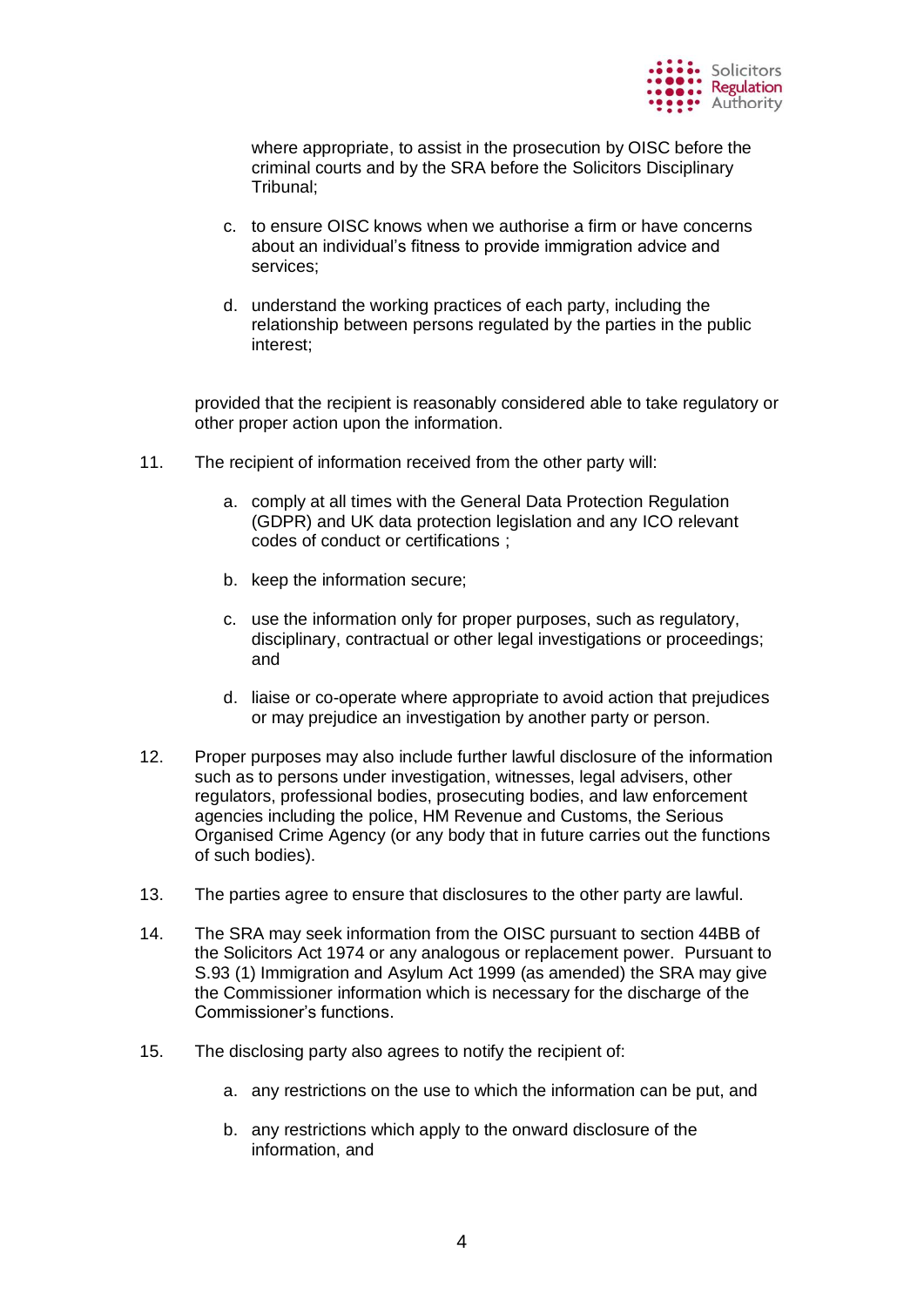

where appropriate, to assist in the prosecution by OISC before the criminal courts and by the SRA before the Solicitors Disciplinary Tribunal;

- c. to ensure OISC knows when we authorise a firm or have concerns about an individual's fitness to provide immigration advice and services;
- d. understand the working practices of each party, including the relationship between persons regulated by the parties in the public interest;

provided that the recipient is reasonably considered able to take regulatory or other proper action upon the information.

- 11. The recipient of information received from the other party will:
	- a. comply at all times with the General Data Protection Regulation (GDPR) and UK data protection legislation and any ICO relevant codes of conduct or certifications ;
	- b. keep the information secure;
	- c. use the information only for proper purposes, such as regulatory, disciplinary, contractual or other legal investigations or proceedings; and
	- d. liaise or co-operate where appropriate to avoid action that prejudices or may prejudice an investigation by another party or person.
- 12. Proper purposes may also include further lawful disclosure of the information such as to persons under investigation, witnesses, legal advisers, other regulators, professional bodies, prosecuting bodies, and law enforcement agencies including the police, HM Revenue and Customs, the Serious Organised Crime Agency (or any body that in future carries out the functions of such bodies).
- 13. The parties agree to ensure that disclosures to the other party are lawful.
- 14. The SRA may seek information from the OISC pursuant to section 44BB of the Solicitors Act 1974 or any analogous or replacement power. Pursuant to S.93 (1) Immigration and Asylum Act 1999 (as amended) the SRA may give the Commissioner information which is necessary for the discharge of the Commissioner's functions.
- 15. The disclosing party also agrees to notify the recipient of:
	- a. any restrictions on the use to which the information can be put, and
	- b. any restrictions which apply to the onward disclosure of the information, and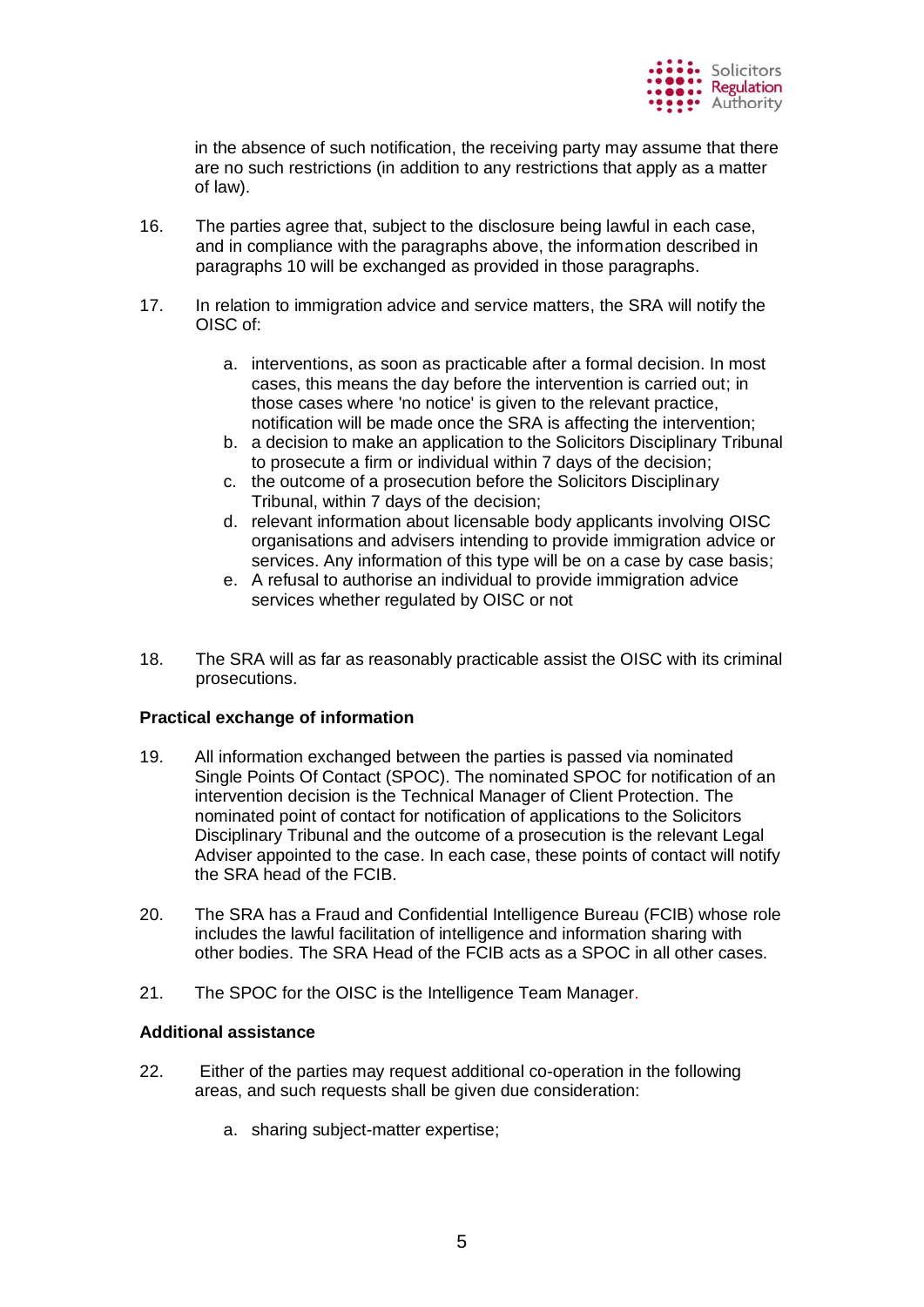

in the absence of such notification, the receiving party may assume that there are no such restrictions (in addition to any restrictions that apply as a matter of law).

- 16. The parties agree that, subject to the disclosure being lawful in each case, and in compliance with the paragraphs above, the information described in paragraphs 10 will be exchanged as provided in those paragraphs.
- 17. In relation to immigration advice and service matters, the SRA will notify the OISC of:
	- a. interventions, as soon as practicable after a formal decision. In most cases, this means the day before the intervention is carried out; in those cases where 'no notice' is given to the relevant practice, notification will be made once the SRA is affecting the intervention;
	- b. a decision to make an application to the Solicitors Disciplinary Tribunal to prosecute a firm or individual within 7 days of the decision;
	- c. the outcome of a prosecution before the Solicitors Disciplinary Tribunal, within 7 days of the decision;
	- d. relevant information about licensable body applicants involving OISC organisations and advisers intending to provide immigration advice or services. Any information of this type will be on a case by case basis;
	- e. A refusal to authorise an individual to provide immigration advice services whether regulated by OISC or not
- 18. The SRA will as far as reasonably practicable assist the OISC with its criminal prosecutions.

#### **Practical exchange of information**

- 19. All information exchanged between the parties is passed via nominated Single Points Of Contact (SPOC). The nominated SPOC for notification of an intervention decision is the Technical Manager of Client Protection. The nominated point of contact for notification of applications to the Solicitors Disciplinary Tribunal and the outcome of a prosecution is the relevant Legal Adviser appointed to the case. In each case, these points of contact will notify the SRA head of the FCIB.
- 20. The SRA has a Fraud and Confidential Intelligence Bureau (FCIB) whose role includes the lawful facilitation of intelligence and information sharing with other bodies. The SRA Head of the FCIB acts as a SPOC in all other cases.
- 21. The SPOC for the OISC is the Intelligence Team Manager.

#### **Additional assistance**

- 22. Either of the parties may request additional co-operation in the following areas, and such requests shall be given due consideration:
	- a. sharing subject-matter expertise;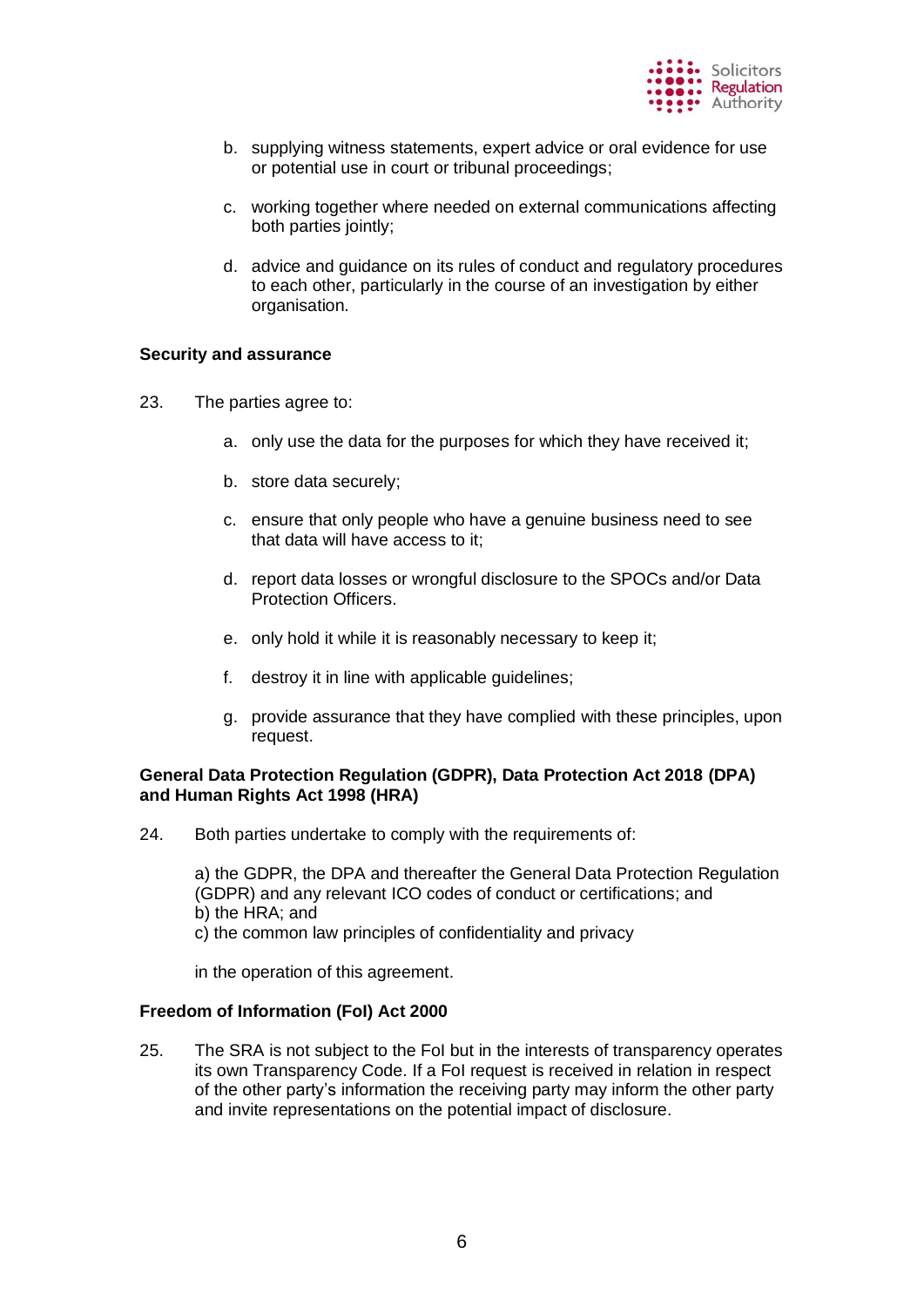

- b. supplying witness statements, expert advice or oral evidence for use or potential use in court or tribunal proceedings;
- c. working together where needed on external communications affecting both parties jointly;
- d. advice and guidance on its rules of conduct and regulatory procedures to each other, particularly in the course of an investigation by either organisation.

#### **Security and assurance**

- 23. The parties agree to:
	- a. only use the data for the purposes for which they have received it;
	- b. store data securely;
	- c. ensure that only people who have a genuine business need to see that data will have access to it;
	- d. report data losses or wrongful disclosure to the SPOCs and/or Data Protection Officers.
	- e. only hold it while it is reasonably necessary to keep it;
	- f. destroy it in line with applicable guidelines;
	- g. provide assurance that they have complied with these principles, upon request.

## **General Data Protection Regulation (GDPR), Data Protection Act 2018 (DPA) and Human Rights Act 1998 (HRA)**

24. Both parties undertake to comply with the requirements of:

a) the GDPR, the DPA and thereafter the General Data Protection Regulation (GDPR) and any relevant ICO codes of conduct or certifications; and b) the HRA; and c) the common law principles of confidentiality and privacy

in the operation of this agreement.

#### **Freedom of Information (FoI) Act 2000**

25. The SRA is not subject to the FoI but in the interests of transparency operates its own Transparency Code. If a FoI request is received in relation in respect of the other party's information the receiving party may inform the other party and invite representations on the potential impact of disclosure.